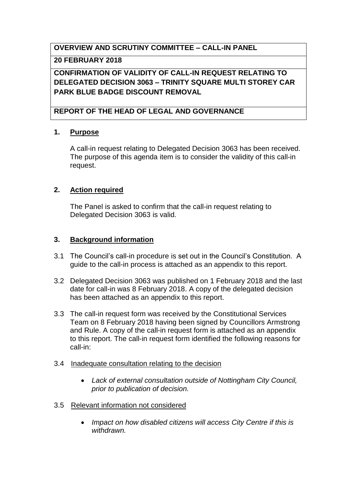### **OVERVIEW AND SCRUTINY COMMITTEE – CALL-IN PANEL**

### **20 FEBRUARY 2018**

# **CONFIRMATION OF VALIDITY OF CALL-IN REQUEST RELATING TO DELEGATED DECISION 3063 – TRINITY SQUARE MULTI STOREY CAR PARK BLUE BADGE DISCOUNT REMOVAL**

## **REPORT OF THE HEAD OF LEGAL AND GOVERNANCE**

### **1. Purpose**

A call-in request relating to Delegated Decision 3063 has been received. The purpose of this agenda item is to consider the validity of this call-in request.

## **2. Action required**

The Panel is asked to confirm that the call-in request relating to Delegated Decision 3063 is valid.

## **3. Background information**

- 3.1 The Council's call-in procedure is set out in the Council's Constitution. A guide to the call-in process is attached as an appendix to this report.
- 3.2 Delegated Decision 3063 was published on 1 February 2018 and the last date for call-in was 8 February 2018. A copy of the delegated decision has been attached as an appendix to this report.
- 3.3 The call-in request form was received by the Constitutional Services Team on 8 February 2018 having been signed by Councillors Armstrong and Rule. A copy of the call-in request form is attached as an appendix to this report. The call-in request form identified the following reasons for call-in:
- 3.4 Inadequate consultation relating to the decision
	- *Lack of external consultation outside of Nottingham City Council, prior to publication of decision.*

### 3.5 Relevant information not considered

 *Impact on how disabled citizens will access City Centre if this is withdrawn.*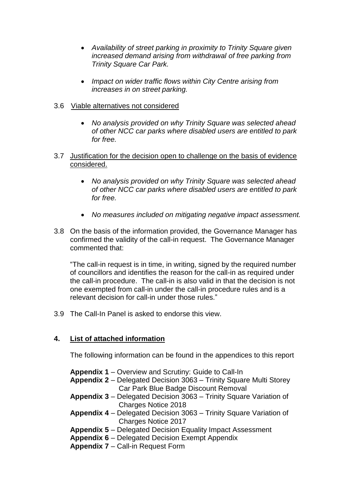- *Availability of street parking in proximity to Trinity Square given increased demand arising from withdrawal of free parking from Trinity Square Car Park.*
- *Impact on wider traffic flows within City Centre arising from increases in on street parking.*
- 3.6 Viable alternatives not considered
	- *No analysis provided on why Trinity Square was selected ahead of other NCC car parks where disabled users are entitled to park for free.*
- 3.7 Justification for the decision open to challenge on the basis of evidence considered.
	- *No analysis provided on why Trinity Square was selected ahead of other NCC car parks where disabled users are entitled to park for free.*
	- *No measures included on mitigating negative impact assessment.*
- 3.8 On the basis of the information provided, the Governance Manager has confirmed the validity of the call-in request. The Governance Manager commented that:

"The call-in request is in time, in writing, signed by the required number of councillors and identifies the reason for the call-in as required under the call-in procedure. The call-in is also valid in that the decision is not one exempted from call-in under the call-in procedure rules and is a relevant decision for call-in under those rules."

3.9 The Call-In Panel is asked to endorse this view.

## **4. List of attached information**

The following information can be found in the appendices to this report

**Appendix 1** – Overview and Scrutiny: Guide to Call-In **Appendix 2** – Delegated Decision 3063 – Trinity Square Multi Storey Car Park Blue Badge Discount Removal

- **Appendix 3** Delegated Decision 3063 Trinity Square Variation of Charges Notice 2018
- **Appendix 4**  Delegated Decision 3063 Trinity Square Variation of Charges Notice 2017
- **Appendix 5**  Delegated Decision Equality Impact Assessment
- **Appendix 6**  Delegated Decision Exempt Appendix

**Appendix 7** – Call-in Request Form